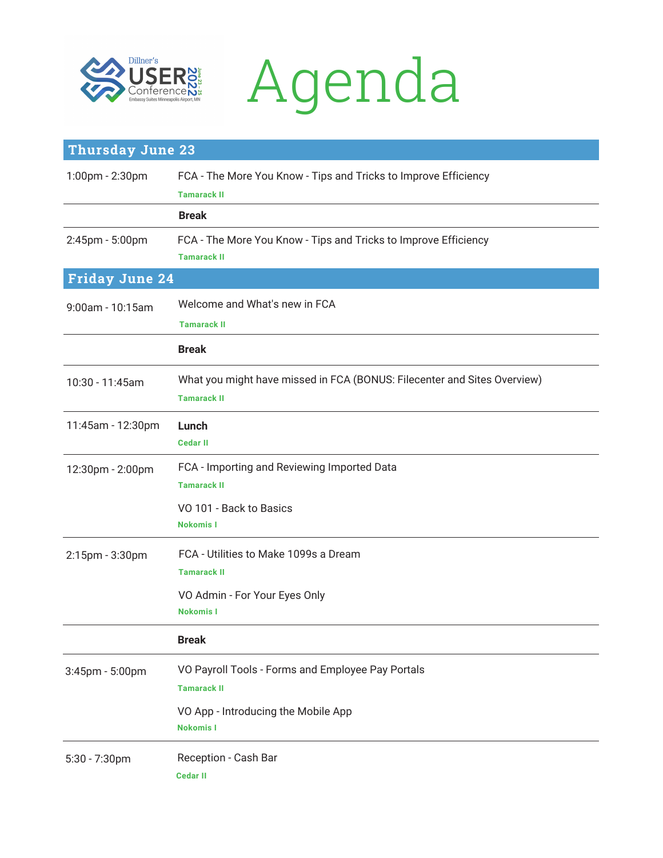



| <b>Thursday June 23</b> |                                                                                                |  |
|-------------------------|------------------------------------------------------------------------------------------------|--|
| 1:00pm - 2:30pm         | FCA - The More You Know - Tips and Tricks to Improve Efficiency<br><b>Tamarack II</b>          |  |
|                         | <b>Break</b>                                                                                   |  |
| 2:45pm - 5:00pm         | FCA - The More You Know - Tips and Tricks to Improve Efficiency<br><b>Tamarack II</b>          |  |
| <b>Friday June 24</b>   |                                                                                                |  |
| 9:00am - 10:15am        | Welcome and What's new in FCA<br><b>Tamarack II</b>                                            |  |
|                         | <b>Break</b>                                                                                   |  |
| 10:30 - 11:45am         | What you might have missed in FCA (BONUS: Filecenter and Sites Overview)<br><b>Tamarack II</b> |  |
| 11:45am - 12:30pm       | Lunch<br><b>Cedar II</b>                                                                       |  |
| 12:30pm - 2:00pm        | FCA - Importing and Reviewing Imported Data<br><b>Tamarack II</b>                              |  |
|                         | VO 101 - Back to Basics<br><b>Nokomis I</b>                                                    |  |
| 2:15pm - 3:30pm         | FCA - Utilities to Make 1099s a Dream<br><b>Tamarack II</b>                                    |  |
|                         | VO Admin - For Your Eyes Only<br><b>Nokomis I</b>                                              |  |
|                         | <b>Break</b>                                                                                   |  |
| 3:45pm - 5:00pm         | VO Payroll Tools - Forms and Employee Pay Portals<br><b>Tamarack II</b>                        |  |
|                         | VO App - Introducing the Mobile App<br><b>Nokomis I</b>                                        |  |
| 5:30 - 7:30pm           | Reception - Cash Bar<br><b>Cedar II</b>                                                        |  |